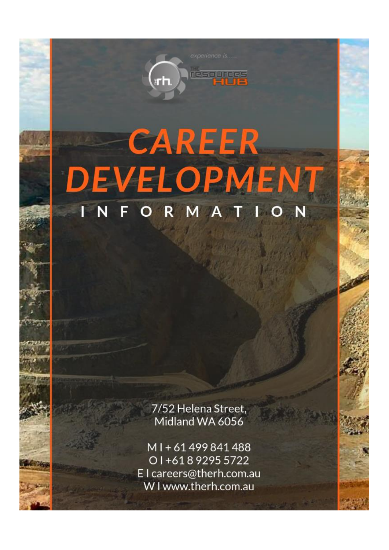# **CAREER DEVELOPMEN** ORMAT

resources

7/52 Helena Street, Midland WA 6056

MI+61499841488 01+61892955722 El careers@therh.com.au W I www.therh.com.au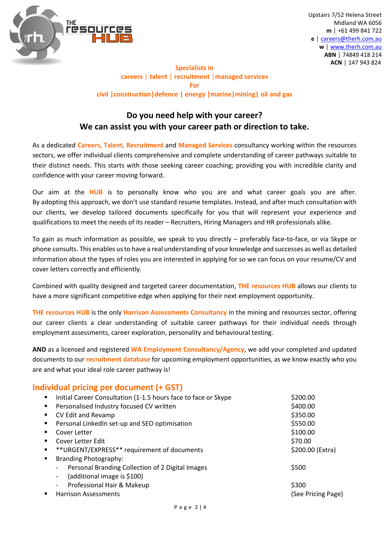

#### **Specialists in careers │ talent │ recruitment │managed services For civil |construction|defence | energy |marine|mining| oil and gas**

### **Do you need help with your career? We can assist you with your career path or direction to take.**

As a dedicated **Careers, Talent, Recruitment** and **Managed Services** consultancy working within the resources sectors, we offer individual clients comprehensive and complete understanding of career pathways suitable to their distinct needs. This starts with those seeking career coaching; providing you with incredible clarity and confidence with your career moving forward.

Our aim at the **HUB** is to personally know who you are and what career goals you are after. By adopting this approach, we don't use standard resume templates. Instead, and after much consultation with our clients, we develop tailored documents specifically for you that will represent your experience and qualifications to meet the needs of its reader – Recruiters, Hiring Managers and HR professionals alike.

To gain as much information as possible, we speak to you directly – preferably face-to-face, or via Skype or phone consults. This enables us to have a real understanding of your knowledge and successes as well as detailed information about the types of roles you are interested in applying for so we can focus on your resume/CV and cover letters correctly and efficiently.

Combined with quality designed and targeted career documentation, **THE resources HUB** allows our clients to have a more significant competitive edge when applying for their next employment opportunity.

**THE resources HUB** is the only **Harrison Assessments Consultancy** in the mining and resources sector, offering our career clients a clear understanding of suitable career pathways for their individual needs through employment assessments, career exploration, personality and behavioural testing.

**AND** as a licensed and registered **WA Employment Consultancy/Agency**, we add your completed and updated documents to our **recruitment database** for upcoming employment opportunities, as we know exactly who you are and what your ideal role career pathway is!

#### **Individual pricing per document (+ GST)**

| ٠              | Initial Career Consultation (1-1.5 hours face to face or Skype               | \$200.00           |
|----------------|------------------------------------------------------------------------------|--------------------|
| $\blacksquare$ | Personalised Industry focused CV written                                     | \$400.00           |
|                | CV Edit and Revamp                                                           | \$350.00           |
|                | Personal LinkedIn set-up and SEO optimisation                                | \$550.00           |
|                | Cover Letter                                                                 | \$100.00           |
| ٠              | Cover Letter Edit                                                            | \$70.00            |
| ٠              | ** URGENT/EXPRESS** requirement of documents                                 | \$200.00 (Extra)   |
| $\blacksquare$ | <b>Branding Photography:</b>                                                 |                    |
|                | Personal Branding Collection of 2 Digital Images<br>$\overline{\phantom{a}}$ | \$500              |
|                | (additional image is \$100)<br>$\overline{\phantom{a}}$                      |                    |
|                | Professional Hair & Makeup<br>$\overline{\phantom{a}}$                       | \$300              |
| ٠              | <b>Harrison Assessments</b>                                                  | (See Pricing Page) |
|                |                                                                              |                    |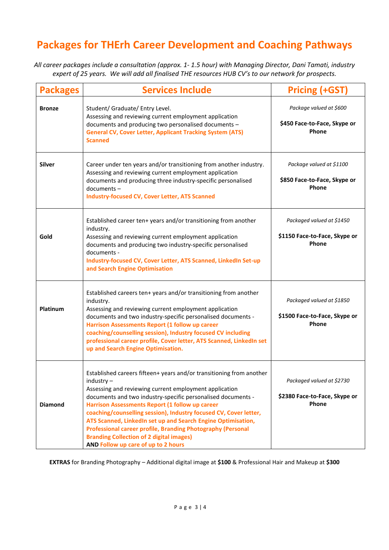## **Packages for THErh Career Development and Coaching Pathways**

*All career packages include a consultation (approx. 1- 1.5 hour) with Managing Director, Dani Tamati, industry expert of 25 years. We will add all finalised THE resources HUB CV's to our network for prospects.*

| <b>Packages</b> | <b>Services Include</b>                                                                                                                                                                                                                                                                                                                                                                                                                                                                                                                                         | <b>Pricing (+GST)</b>                                               |
|-----------------|-----------------------------------------------------------------------------------------------------------------------------------------------------------------------------------------------------------------------------------------------------------------------------------------------------------------------------------------------------------------------------------------------------------------------------------------------------------------------------------------------------------------------------------------------------------------|---------------------------------------------------------------------|
| <b>Bronze</b>   | Student/ Graduate/ Entry Level.<br>Assessing and reviewing current employment application<br>documents and producing two personalised documents -<br><b>General CV, Cover Letter, Applicant Tracking System (ATS)</b><br><b>Scanned</b>                                                                                                                                                                                                                                                                                                                         | Package valued at \$600<br>\$450 Face-to-Face, Skype or<br>Phone    |
| <b>Silver</b>   | Career under ten years and/or transitioning from another industry.<br>Assessing and reviewing current employment application<br>documents and producing three industry-specific personalised<br>documents-<br><b>Industry-focused CV, Cover Letter, ATS Scanned</b>                                                                                                                                                                                                                                                                                             | Package valued at \$1100<br>\$850 Face-to-Face, Skype or<br>Phone   |
| Gold            | Established career ten+ years and/or transitioning from another<br>industry.<br>Assessing and reviewing current employment application<br>documents and producing two industry-specific personalised<br>documents -<br>Industry-focused CV, Cover Letter, ATS Scanned, LinkedIn Set-up<br>and Search Engine Optimisation                                                                                                                                                                                                                                        | Packaged valued at \$1450<br>\$1150 Face-to-Face, Skype or<br>Phone |
| Platinum        | Established careers ten+ years and/or transitioning from another<br>industry.<br>Assessing and reviewing current employment application<br>documents and two industry-specific personalised documents -<br>Harrison Assessments Report (1 follow up career<br>coaching/counselling session), Industry focused CV including<br>professional career profile, Cover letter, ATS Scanned, LinkedIn set<br>up and Search Engine Optimisation.                                                                                                                        | Packaged valued at \$1850<br>\$1500 Face-to-Face, Skype or<br>Phone |
| <b>Diamond</b>  | Established careers fifteen+ years and/or transitioning from another<br>$industry -$<br>Assessing and reviewing current employment application<br>documents and two industry-specific personalised documents -<br>Harrison Assessments Report (1 follow up career<br>coaching/counselling session), Industry focused CV, Cover letter,<br>ATS Scanned, LinkedIn set up and Search Engine Optimisation,<br>Professional career profile, Branding Photography (Personal<br><b>Branding Collection of 2 digital images)</b><br>AND Follow up care of up to 2 hours | Packaged valued at \$2730<br>\$2380 Face-to-Face, Skype or<br>Phone |

**EXTRAS** for Branding Photography – Additional digital image at **\$100** & Professional Hair and Makeup at **\$300**